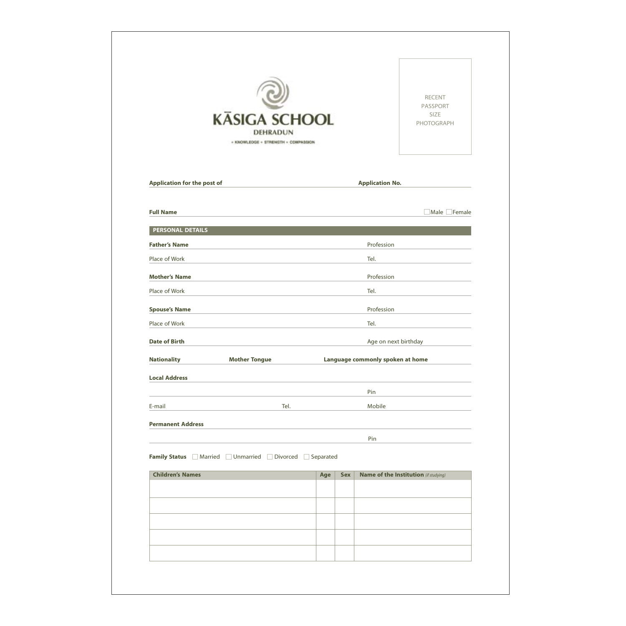|                                    | <b>KÄSIGA SCHOOL</b><br>DEHRADUN<br>* KNOWLEDGE * STRENGTH * COMPASSION |     |     |                                  | <b>RECENT</b><br>PASSPORT<br>SIZE<br>PHOTOGRAPH |
|------------------------------------|-------------------------------------------------------------------------|-----|-----|----------------------------------|-------------------------------------------------|
| <b>Application for the post of</b> |                                                                         |     |     | <b>Application No.</b>           |                                                 |
| <b>Full Name</b>                   |                                                                         |     |     |                                  | □ Male □ Female                                 |
| <b>PERSONAL DETAILS</b>            |                                                                         |     |     |                                  |                                                 |
| <b>Father's Name</b>               |                                                                         |     |     | Profession                       |                                                 |
| Place of Work                      |                                                                         |     |     | Tel.                             |                                                 |
| <b>Mother's Name</b>               |                                                                         |     |     | Profession                       |                                                 |
| Place of Work                      |                                                                         |     |     | Tel.                             |                                                 |
| <b>Spouse's Name</b>               |                                                                         |     |     | Profession                       |                                                 |
| Place of Work                      |                                                                         |     |     | Tel.                             |                                                 |
| <b>Date of Birth</b>               |                                                                         |     |     | Age on next birthday             |                                                 |
| <b>Nationality</b>                 | <b>Mother Tongue</b>                                                    |     |     | Language commonly spoken at home |                                                 |
| <b>Local Address</b>               |                                                                         |     |     |                                  |                                                 |
|                                    |                                                                         |     |     | Pin                              |                                                 |
| E-mail                             | Tel.                                                                    |     |     | Mobile                           |                                                 |
| <b>Permanent Address</b>           |                                                                         |     |     |                                  |                                                 |
|                                    |                                                                         |     |     | Pin                              |                                                 |
|                                    | Family Status Married Unmarried Divorced Separated                      |     |     |                                  |                                                 |
| <b>Children's Names</b>            |                                                                         | Age | Sex |                                  | <b>Name of the Institution</b> (if studying)    |
|                                    |                                                                         |     |     |                                  |                                                 |
|                                    |                                                                         |     |     |                                  |                                                 |
|                                    |                                                                         |     |     |                                  |                                                 |
|                                    |                                                                         |     |     |                                  |                                                 |
|                                    |                                                                         |     |     |                                  |                                                 |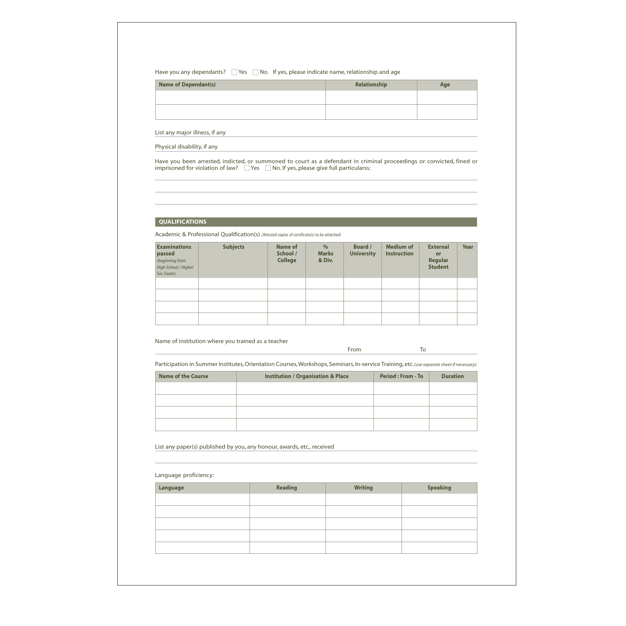### Have you any dependants?  $\Box$  Yes  $\Box$  No. If yes, please indicate name, relationship and age

| <b>Name of Dependant(s)</b> | Relationship | Age |
|-----------------------------|--------------|-----|
|                             |              |     |
|                             |              |     |

List any major illness, if any

Physical disability, if any

Have you been arrested, indicted, or summoned to court as a defendant in criminal proceedings or convicted, fined or imprisoned for violation of law?  $\Box$  Yes  $\Box$  No. If yes, please give full particularss:

# QUALIFICATIONS

Academic & Professional Qualification(s) (Attested copies of certificate(s) to be attached)

| <b>Examinations</b><br>passed<br>(beginning from<br>High School / Higher<br>Sec. Exam) | <b>Subjects</b> | Name of<br>School /<br><b>College</b> | $\%$<br><b>Marks</b><br>& Div. | <b>Board</b> /<br><b>University</b> | <b>Medium of</b><br><b>Instruction</b> | <b>External</b><br>or<br>Regular<br><b>Student</b> | <b>Year</b> |
|----------------------------------------------------------------------------------------|-----------------|---------------------------------------|--------------------------------|-------------------------------------|----------------------------------------|----------------------------------------------------|-------------|
|                                                                                        |                 |                                       |                                |                                     |                                        |                                                    |             |
|                                                                                        |                 |                                       |                                |                                     |                                        |                                                    |             |
|                                                                                        |                 |                                       |                                |                                     |                                        |                                                    |             |
|                                                                                        |                 |                                       |                                |                                     |                                        |                                                    |             |

Name of institution where you trained as a teacher

From To

Participation in Summer Institutes, Orientation Courses, Workshops, Seminars, In-service Training, etc. (use separate sheet if necessary).

| <b>Institution / Organisation &amp; Place</b> | <b>Period: From - To</b> | <b>Duration</b> |
|-----------------------------------------------|--------------------------|-----------------|
|                                               |                          |                 |
|                                               |                          |                 |
|                                               |                          |                 |
|                                               |                          |                 |
|                                               |                          |                 |

List any paper(s) published by you, any honour, awards, etc., received

## Language proficiency:

| Language | Reading | <b>Writing</b> | <b>Speaking</b> |
|----------|---------|----------------|-----------------|
|          |         |                |                 |
|          |         |                |                 |
|          |         |                |                 |
|          |         |                |                 |
|          |         |                |                 |
|          |         |                |                 |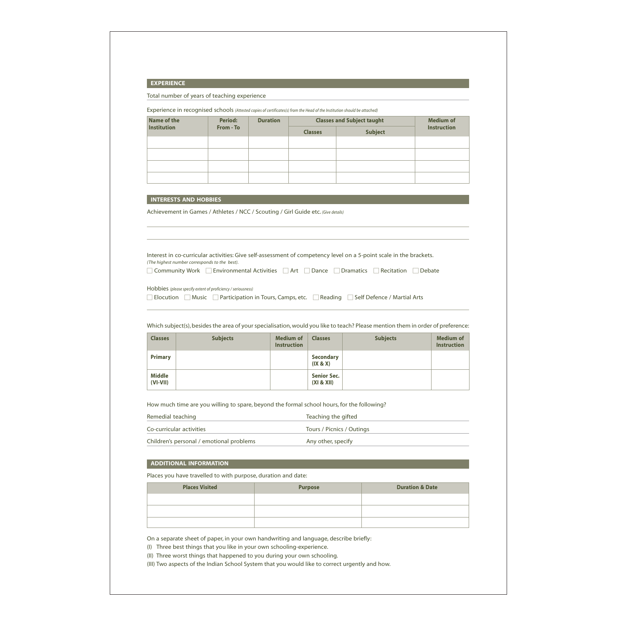#### **EXPERIENCE**

Total number of years of teaching experience

Experience in recognised schools (Attested copies of certificates(s) from the Head of the Institution should be attached)

| Name of the        | <b>Period:</b> | <b>Duration</b> |                | <b>Classes and Subject taught</b> | <b>Medium of</b>   |
|--------------------|----------------|-----------------|----------------|-----------------------------------|--------------------|
| <b>Institution</b> | From - To      |                 | <b>Classes</b> | <b>Subject</b>                    | <b>Instruction</b> |
|                    |                |                 |                |                                   |                    |
|                    |                |                 |                |                                   |                    |
|                    |                |                 |                |                                   |                    |
|                    |                |                 |                |                                   |                    |

#### **INTERESTS AND HOBBIES**

Achievement in Games / Athletes / NCC / Scouting / Girl Guide etc. (Give details)

Interest in co-curricular activities: Give self-assessment of competency level on a 5-point scale in the brackets. (The highest number corresponds to the best).

Community Work Environmental Activities Art Dance Dramatics Recitation Debate

Hobbies (please specify extent of proficiency / seriousness)

Elocution Music Participation in Tours, Camps, etc. Reading Self Defence / Martial Arts

Which subject(s), besides the area of your specialisation, would you like to teach? Please mention them in order of preference:

| <b>Classes</b>              | <b>Subjects</b> | <b>Medium of</b><br><b>Instruction</b> | <b>Classes</b>                   | <b>Subjects</b> | <b>Medium of</b><br><b>Instruction</b> |
|-----------------------------|-----------------|----------------------------------------|----------------------------------|-----------------|----------------------------------------|
| <b>Primary</b>              |                 |                                        | <b>Secondary</b><br>(IX & X)     |                 |                                        |
| <b>Middle</b><br>$(VI-VII)$ |                 |                                        | <b>Senior Sec.</b><br>(XI & XII) |                 |                                        |

How much time are you willing to spare, beyond the formal school hours, for the following?

| Remedial teaching                        | Teaching the gifted       |
|------------------------------------------|---------------------------|
| Co-curricular activities                 | Tours / Picnics / Outings |
| Children's personal / emotional problems | Any other, specify        |

#### ADDITIONAL INFORMATION

Places you have travelled to with purpose, duration and date:

| <b>Places Visited</b> | <b>Purpose</b> | <b>Duration &amp; Date</b> |
|-----------------------|----------------|----------------------------|
|                       |                |                            |
|                       |                |                            |
|                       |                |                            |

On a separate sheet of paper, in your own handwriting and language, describe briefly:

(I) Three best things that you like in your own schooling-experience.

(II) Three worst things that happened to you during your own schooling.

(III) Two aspects of the Indian School System that you would like to correct urgently and how.